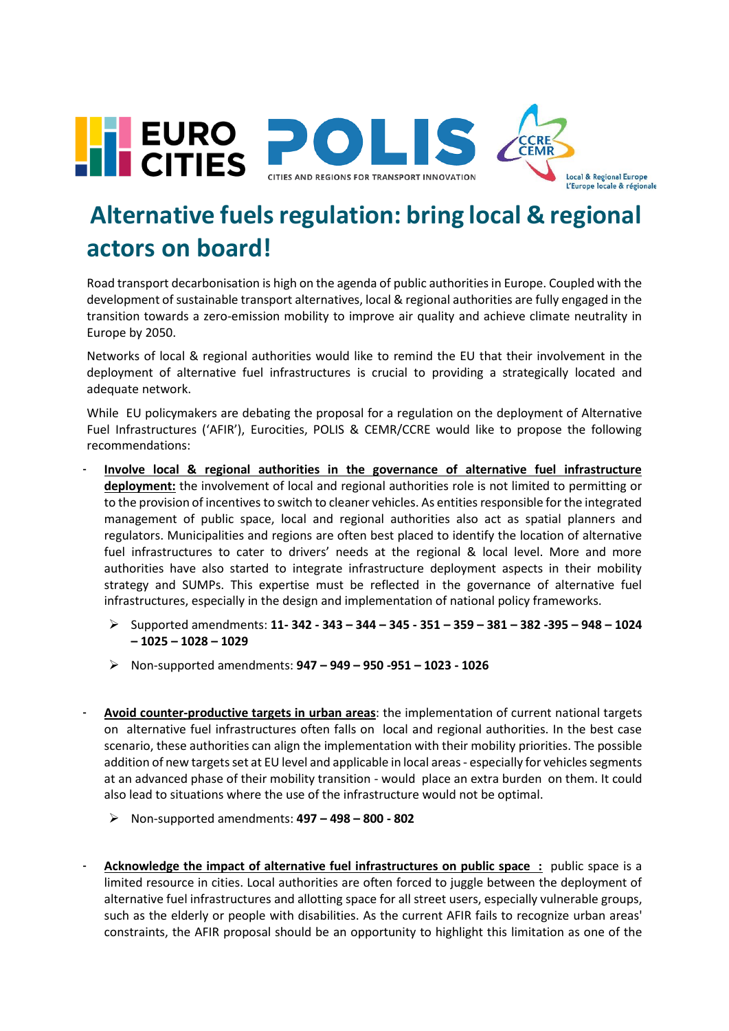

## **Alternative fuels regulation: bring local & regional actors on board!**

Road transport decarbonisation is high on the agenda of public authorities in Europe. Coupled with the development of sustainable transport alternatives, local & regional authorities are fully engaged in the transition towards a zero-emission mobility to improve air quality and achieve climate neutrality in Europe by 2050.

Networks of local & regional authorities would like to remind the EU that their involvement in the deployment of alternative fuel infrastructures is crucial to providing a strategically located and adequate network.

While EU policymakers are debating the proposal for a regulation on the deployment of Alternative Fuel Infrastructures ('AFIR'), Eurocities, POLIS & CEMR/CCRE would like to propose the following recommendations:

- **Involve local & regional authorities in the governance of alternative fuel infrastructure deployment:** the involvement of local and regional authorities role is not limited to permitting or to the provision of incentives to switch to cleaner vehicles. As entities responsible for the integrated management of public space, local and regional authorities also act as spatial planners and regulators. Municipalities and regions are often best placed to identify the location of alternative fuel infrastructures to cater to drivers' needs at the regional & local level. More and more authorities have also started to integrate infrastructure deployment aspects in their mobility strategy and SUMPs. This expertise must be reflected in the governance of alternative fuel infrastructures, especially in the design and implementation of national policy frameworks.
	- ➢ Supported amendments: **11- 342 - 343 – 344 – 345 - 351 – 359 – 381 – 382 -395 – 948 – 1024 – 1025 – 1028 – 1029**
	- ➢ Non-supported amendments: **947 – 949 – 950 -951 – 1023 - 1026**
- **Avoid counter-productive targets in urban areas**: the implementation of current national targets on alternative fuel infrastructures often falls on local and regional authorities. In the best case scenario, these authorities can align the implementation with their mobility priorities. The possible addition of new targets set at EU level and applicable in local areas - especially for vehicles segments at an advanced phase of their mobility transition - would place an extra burden on them. It could also lead to situations where the use of the infrastructure would not be optimal.
	- ➢ Non-supported amendments: **497 – 498 – 800 - 802**
- Acknowledge the impact of alternative fuel infrastructures on public space : public space is a limited resource in cities. Local authorities are often forced to juggle between the deployment of alternative fuel infrastructures and allotting space for all street users, especially vulnerable groups, such as the elderly or people with disabilities. As the current AFIR fails to recognize urban areas' constraints, the AFIR proposal should be an opportunity to highlight this limitation as one of the